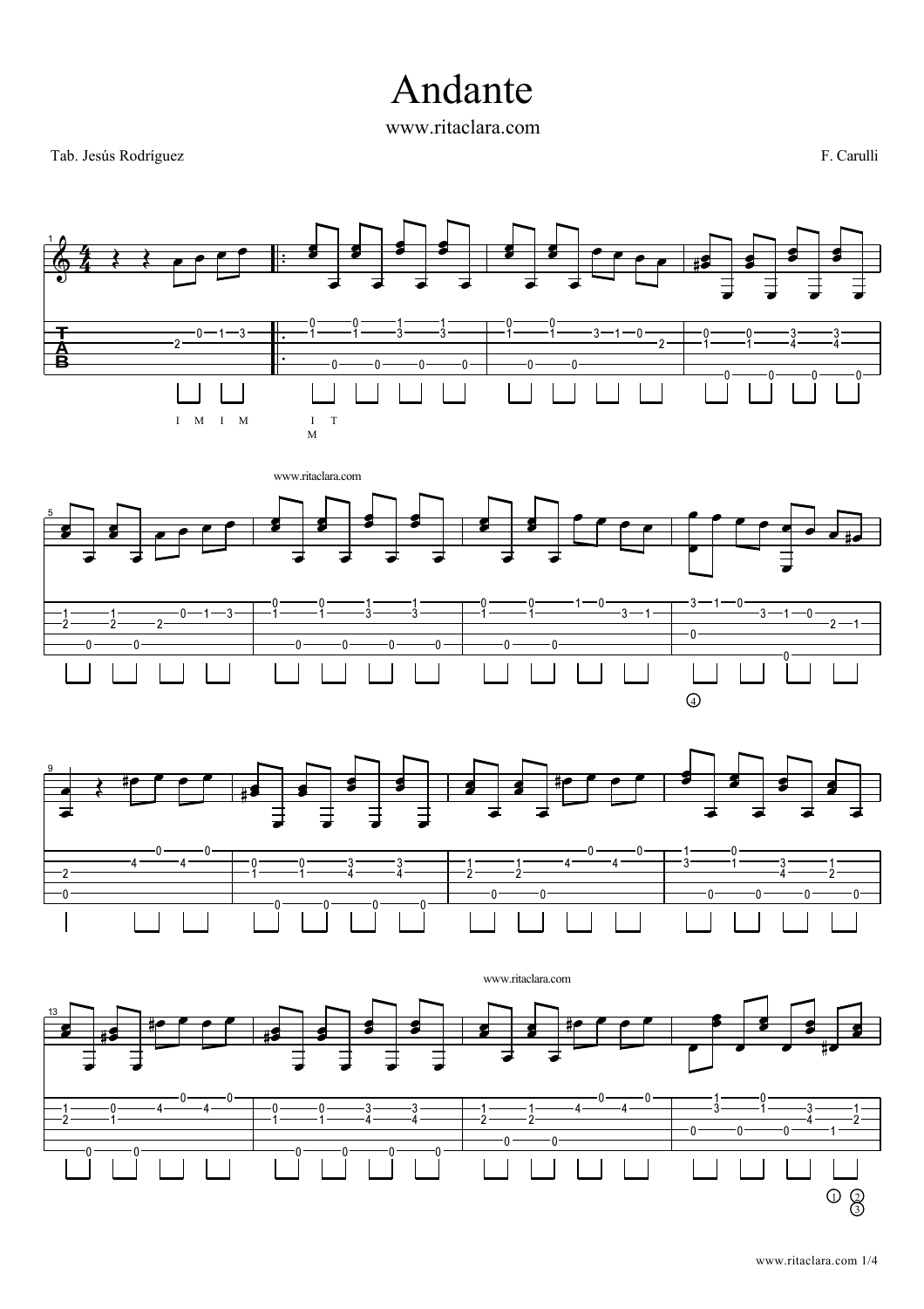## Andante

www.ritaclara.com

Tab. Jesús Rodríguez F. Carulli

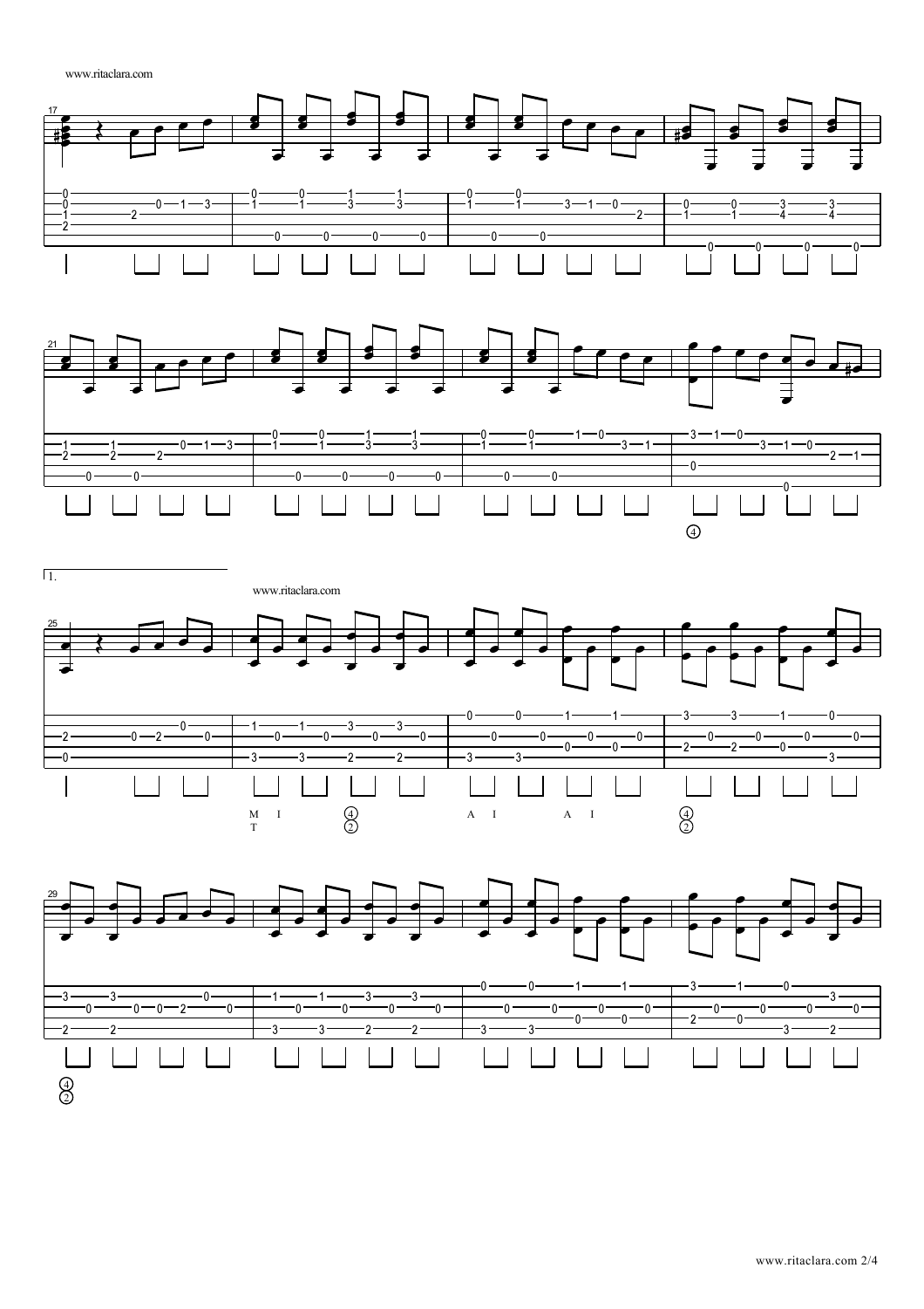www.ritaclara.com







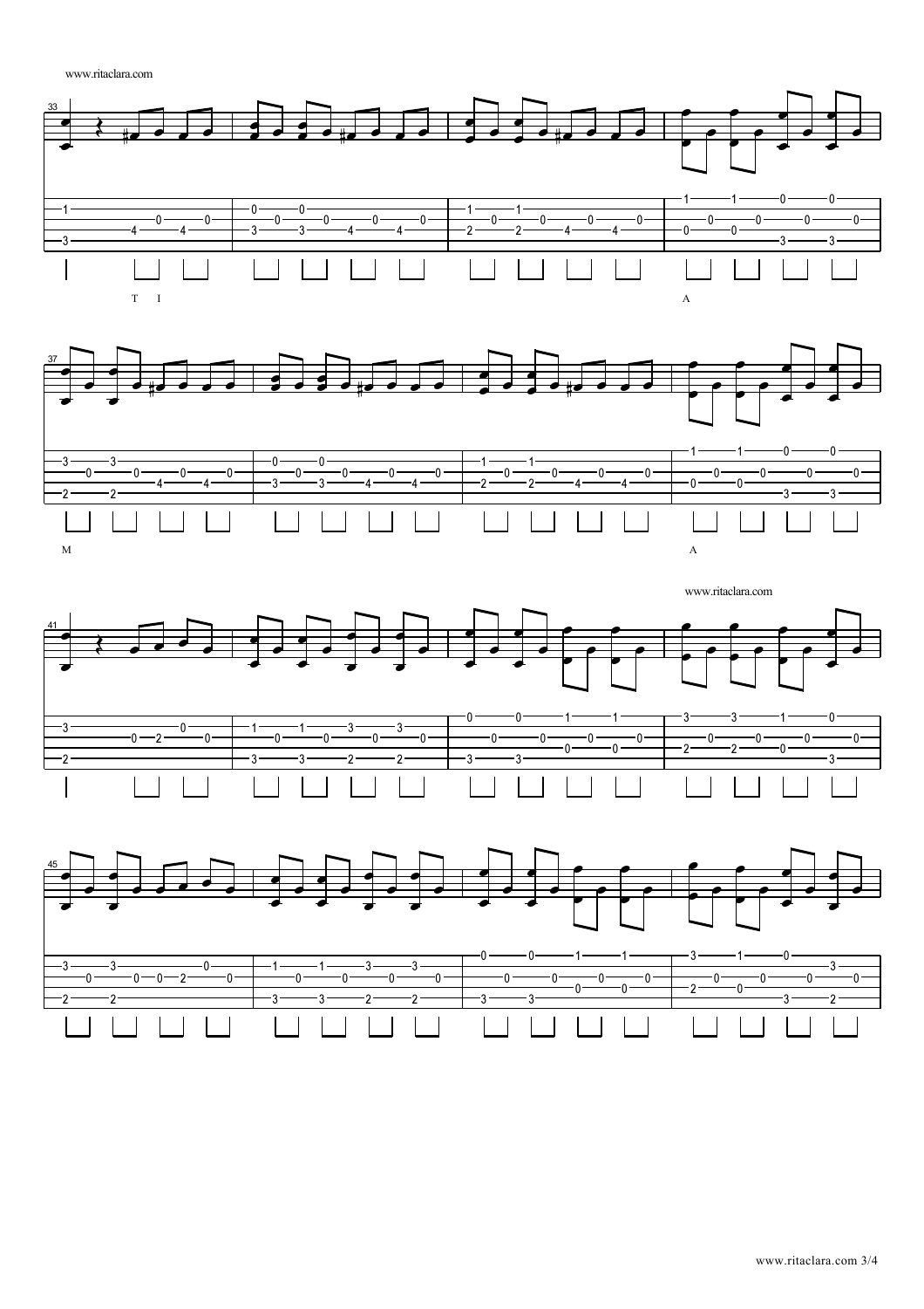www.ritaclara.com





www.ritaclara.com -0  $-0 \cdot$  0 1 3 3  $\frac{-}{-0}$  - 3 - $-3 \overline{\phantom{0}}$  $-3 \ddot{\phantom{0}}$  $-1 -0 - 2$  $-0 -0 -0 -0 -0 -0 -0$  - $-0$  $0 -0$  $0 -0 \cdot$  0  $\cdot$  $\overline{\phantom{0}}$  $\cdot$  $-2$  $\cdot$ 0  $\cdot$  $-2$  $-3$ -3  $\cdot$ 2  $-2$  $-3$  $-3 -3 \overline{\phantom{a}}$ 



www.ritaclara.com 3/4